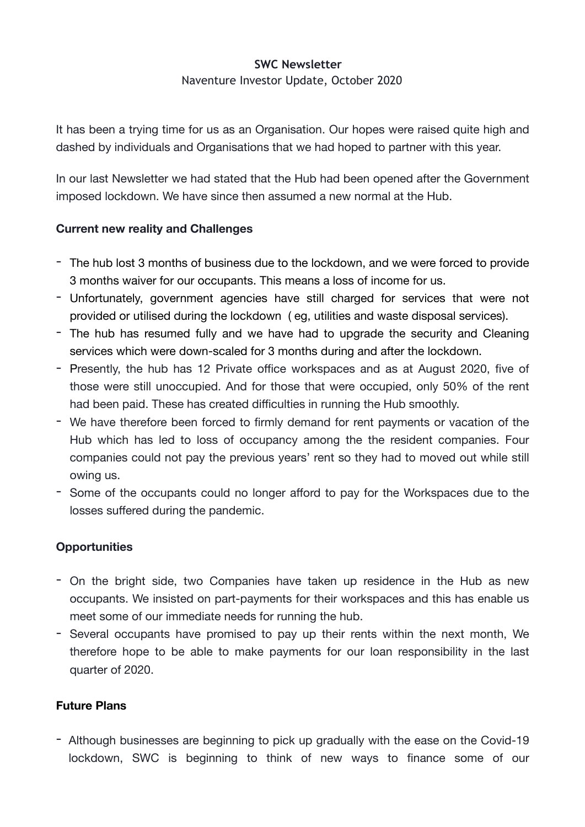## **SWC Newsletter**

Naventure Investor Update, October 2020

It has been a trying time for us as an Organisation. Our hopes were raised quite high and dashed by individuals and Organisations that we had hoped to partner with this year.

In our last Newsletter we had stated that the Hub had been opened after the Government imposed lockdown. We have since then assumed a new normal at the Hub.

## **Current new reality and Challenges**

- The hub lost 3 months of business due to the lockdown, and we were forced to provide 3 months waiver for our occupants. This means a loss of income for us.
- Unfortunately, government agencies have still charged for services that were not provided or utilised during the lockdown ( eg, utilities and waste disposal services).
- The hub has resumed fully and we have had to upgrade the security and Cleaning services which were down-scaled for 3 months during and after the lockdown.
- Presently, the hub has 12 Private office workspaces and as at August 2020, five of those were still unoccupied. And for those that were occupied, only 50% of the rent had been paid. These has created difficulties in running the Hub smoothly.
- We have therefore been forced to firmly demand for rent payments or vacation of the Hub which has led to loss of occupancy among the the resident companies. Four companies could not pay the previous years' rent so they had to moved out while still owing us.
- Some of the occupants could no longer afford to pay for the Workspaces due to the losses suffered during the pandemic.

## **Opportunities**

- On the bright side, two Companies have taken up residence in the Hub as new occupants. We insisted on part-payments for their workspaces and this has enable us meet some of our immediate needs for running the hub.
- Several occupants have promised to pay up their rents within the next month, We therefore hope to be able to make payments for our loan responsibility in the last quarter of 2020.

## **Future Plans**

- Although businesses are beginning to pick up gradually with the ease on the Covid-19 lockdown, SWC is beginning to think of new ways to finance some of our